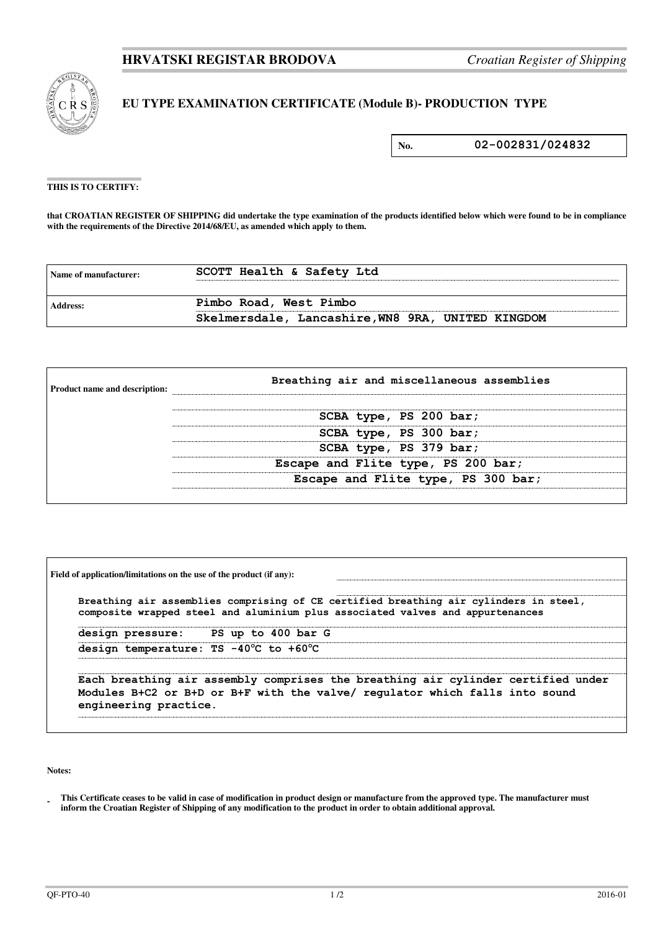

## **EU TYPE EXAMINATION CERTIFICATE (Module B)- PRODUCTION TYPE**

**No. 02-002831/024832**

## **THIS IS TO CERTIFY:**

**that CROATIAN REGISTER OF SHIPPING did undertake the type examination of the products identified below which were found to be in compliance**  with the requirements of the Directive 2014/68/EU, as amended which apply to them.

| Name of manufacturer: | SCOTT Health & Safety Ltd                         |  |
|-----------------------|---------------------------------------------------|--|
| Address:              | Pimbo Road, West Pimbo                            |  |
|                       | Skelmersdale, Lancashire, WN8 9RA, UNITED KINGDOM |  |

| <b>Product name and description:</b> | Breathing air and miscellaneous assemblies |  |  |
|--------------------------------------|--------------------------------------------|--|--|
|                                      | SCBA type, PS 200 bar;                     |  |  |
|                                      | SCBA type, PS 300 bar;                     |  |  |
|                                      | SCBA type, PS 379 bar;                     |  |  |
|                                      | Escape and Flite type, PS 200 bar;         |  |  |
|                                      | Escape and Flite type, PS 300 bar;         |  |  |
|                                      |                                            |  |  |

| Breathing air assemblies comprising of CE certified breathing air cylinders in steel,<br>composite wrapped steel and aluminium plus associated valves and appurtenances |                       |                                       |                                                                                                                                                                 |  |
|-------------------------------------------------------------------------------------------------------------------------------------------------------------------------|-----------------------|---------------------------------------|-----------------------------------------------------------------------------------------------------------------------------------------------------------------|--|
|                                                                                                                                                                         |                       | design pressure: PS up to 400 bar G   |                                                                                                                                                                 |  |
|                                                                                                                                                                         |                       | design temperature: TS -40°C to +60°C |                                                                                                                                                                 |  |
|                                                                                                                                                                         | engineering practice. |                                       | Each breathing air assembly comprises the breathing air cylinder certified under<br>Modules B+C2 or B+D or B+F with the valve/ regulator which falls into sound |  |

**Notes:** 

**<sup>-</sup>  This Certificate ceases to be valid in case of modification in product design or manufacture from the approved type. The manufacturer must inform the Croatian Register of Shipping of any modification to the product in order to obtain additional approval.**